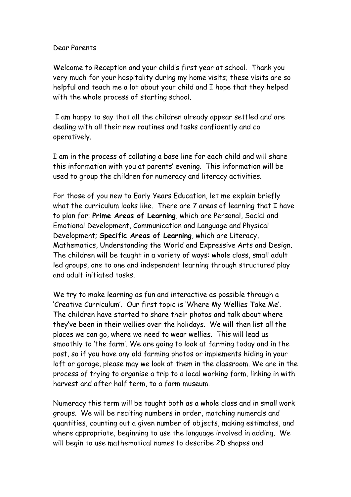## Dear Parents

Welcome to Reception and your child's first year at school. Thank you very much for your hospitality during my home visits; these visits are so helpful and teach me a lot about your child and I hope that they helped with the whole process of starting school.

I am happy to say that all the children already appear settled and are dealing with all their new routines and tasks confidently and co operatively.

I am in the process of collating a base line for each child and will share this information with you at parents' evening. This information will be used to group the children for numeracy and literacy activities.

For those of you new to Early Years Education, let me explain briefly what the curriculum looks like. There are 7 areas of learning that I have to plan for: **Prime Areas of Learning**, which are Personal, Social and Emotional Development, Communication and Language and Physical Development; **Specific Areas of Learning**, which are Literacy, Mathematics, Understanding the World and Expressive Arts and Design. The children will be taught in a variety of ways: whole class, small adult led groups, one to one and independent learning through structured play and adult initiated tasks.

We try to make learning as fun and interactive as possible through a 'Creative Curriculum'. Our first topic is 'Where My Wellies Take Me'. The children have started to share their photos and talk about where they've been in their wellies over the holidays. We will then list all the places we can go, where we need to wear wellies. This will lead us smoothly to 'the farm'. We are going to look at farming today and in the past, so if you have any old farming photos or implements hiding in your loft or garage, please may we look at them in the classroom. We are in the process of trying to organise a trip to a local working farm, linking in with harvest and after half term, to a farm museum.

Numeracy this term will be taught both as a whole class and in small work groups. We will be reciting numbers in order, matching numerals and quantities, counting out a given number of objects, making estimates, and where appropriate, beginning to use the language involved in adding. We will begin to use mathematical names to describe 2D shapes and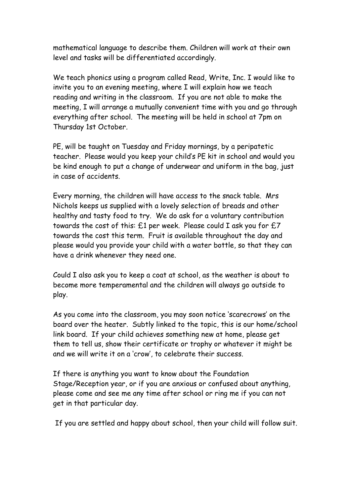mathematical language to describe them. Children will work at their own level and tasks will be differentiated accordingly.

We teach phonics using a program called Read, Write, Inc. I would like to invite you to an evening meeting, where I will explain how we teach reading and writing in the classroom. If you are not able to make the meeting, I will arrange a mutually convenient time with you and go through everything after school. The meeting will be held in school at 7pm on Thursday 1st October.

PE, will be taught on Tuesday and Friday mornings, by a peripatetic teacher. Please would you keep your child's PE kit in school and would you be kind enough to put a change of underwear and uniform in the bag, just in case of accidents.

Every morning, the children will have access to the snack table. Mrs Nichols keeps us supplied with a lovely selection of breads and other healthy and tasty food to try. We do ask for a voluntary contribution towards the cost of this: £1 per week. Please could I ask you for £7 towards the cost this term. Fruit is available throughout the day and please would you provide your child with a water bottle, so that they can have a drink whenever they need one.

Could I also ask you to keep a coat at school, as the weather is about to become more temperamental and the children will always go outside to play.

As you come into the classroom, you may soon notice 'scarecrows' on the board over the heater. Subtly linked to the topic, this is our home/school link board. If your child achieves something new at home, please get them to tell us, show their certificate or trophy or whatever it might be and we will write it on a 'crow', to celebrate their success.

If there is anything you want to know about the Foundation Stage/Reception year, or if you are anxious or confused about anything, please come and see me any time after school or ring me if you can not get in that particular day.

If you are settled and happy about school, then your child will follow suit.